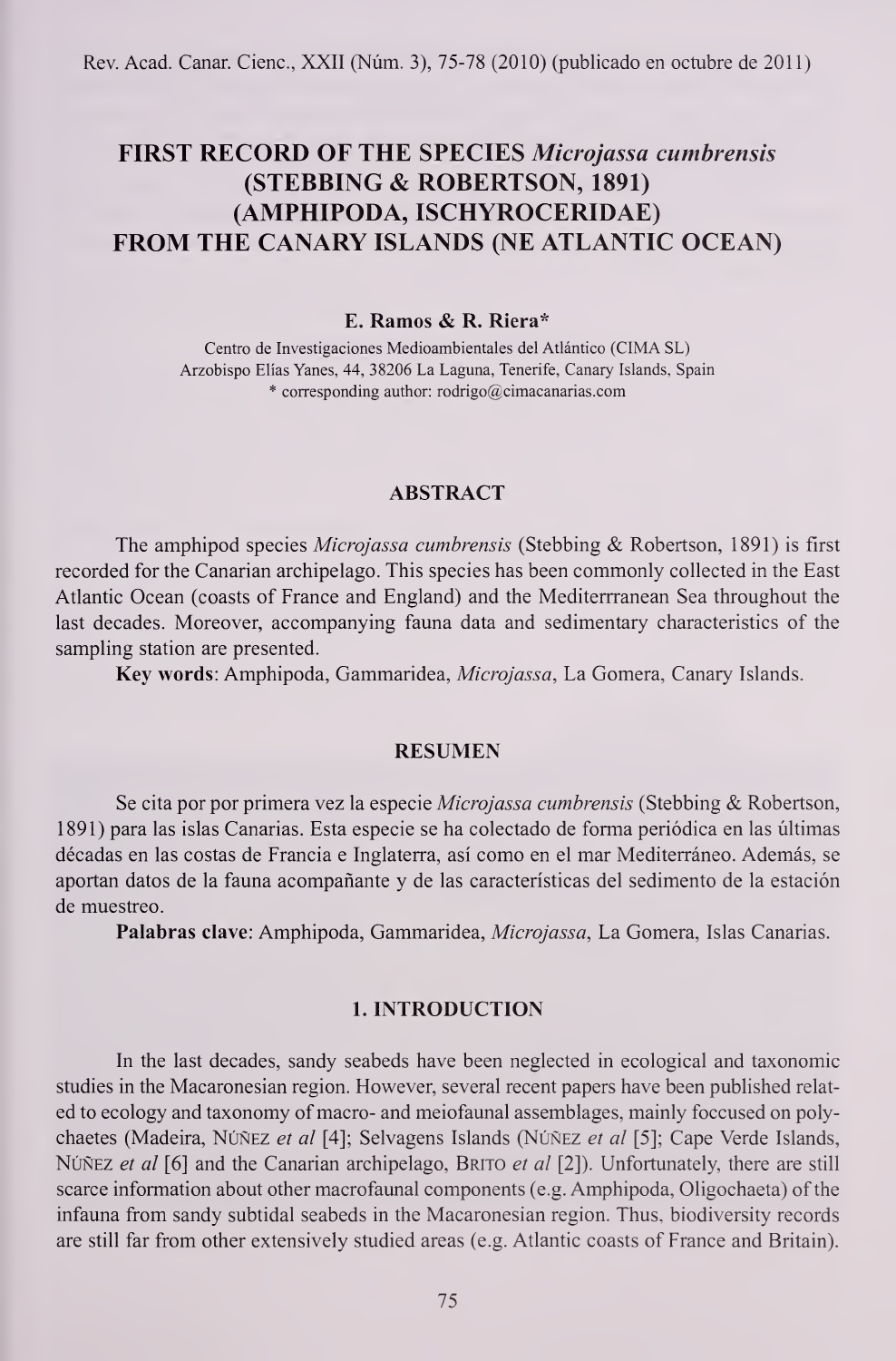Rev. Acad. Canar. Cienc, XXII (Num. 3), 75-78 (2010) (publicado en octubre de 2011)

# FIRST RECORD OF THE SPECIES Microjassa cumbrensis (STEBBING & ROBERTSON, 1891) (AMPHIPODA, ISCHYROCERIDAE) FROM THE CANARY ISLANDS (NE ATLANTIC OCEAN)

### E. Ramos & R. Riera\*

Centro de Investigaciones Medioambientales del Atlántico (CIMA SL) Arzobispo Elias Yanes, 44, 38206 La Laguna, Tenerife, Canary Islands, Spain  $*$  corresponding author: rodrigo@cimacanarias.com

#### ABSTRACT

The amphipod species Microjassa cumbrensis (Stebbing & Robertson, 1891) is first recorded for the Canarian archipelago. This species has been commonly collected in the East Atlantic Ocean (coasts of France and England) and the Mediterrranean Sea throughout the last decades. Moreover, accompanying fauna data and sedimentary characteristics of the sampling station are presented.

Key words: Amphipoda, Gammaridea, Microjassa, La Gomera, Canary Islands.

## RESUMEN

Se cita por por primera vez la especie *Microjassa cumbrensis* (Stebbing & Robertson, 1891) para las islas Canarias. Esta especie se ha colectado de forma periodica en las ultimas décadas en las costas de Francia e Inglaterra, así como en el mar Mediterráneo. Además, se aportan datos de la fauna acompanante y de las caracteristicas del sedimento de la estacion de muestreo.

Palabras clave: Amphipoda, Gammaridea, Microjassa, La Gomera, Islas Canarias.

#### 1. INTRODUCTION

In the last decades, sandy seabeds have been neglected in ecological and taxonomic studies in the Macaronesian region. However, several recent papers have been published relat ed to ecology and taxonomy of macro- and meiofaunal assemblages, mainly foccused on polychaetes (Madeira, NÚÑEZ et al [4]; Selvagens Islands (NÚÑEZ et al [5]; Cape Verde Islands, NÚÑEZ et al [6] and the Canarian archipelago, BRITO et al  $[2]$ ). Unfortunately, there are still scarce information about other macrofaunal components (e.g. Amphipoda, Oligochaeta) of the infauna from sandy subtidal seabeds in the Macaronesian region. Thus, biodiversity records are still far from other extensively studied areas (e.g. Atlantic coasts of France and Britain).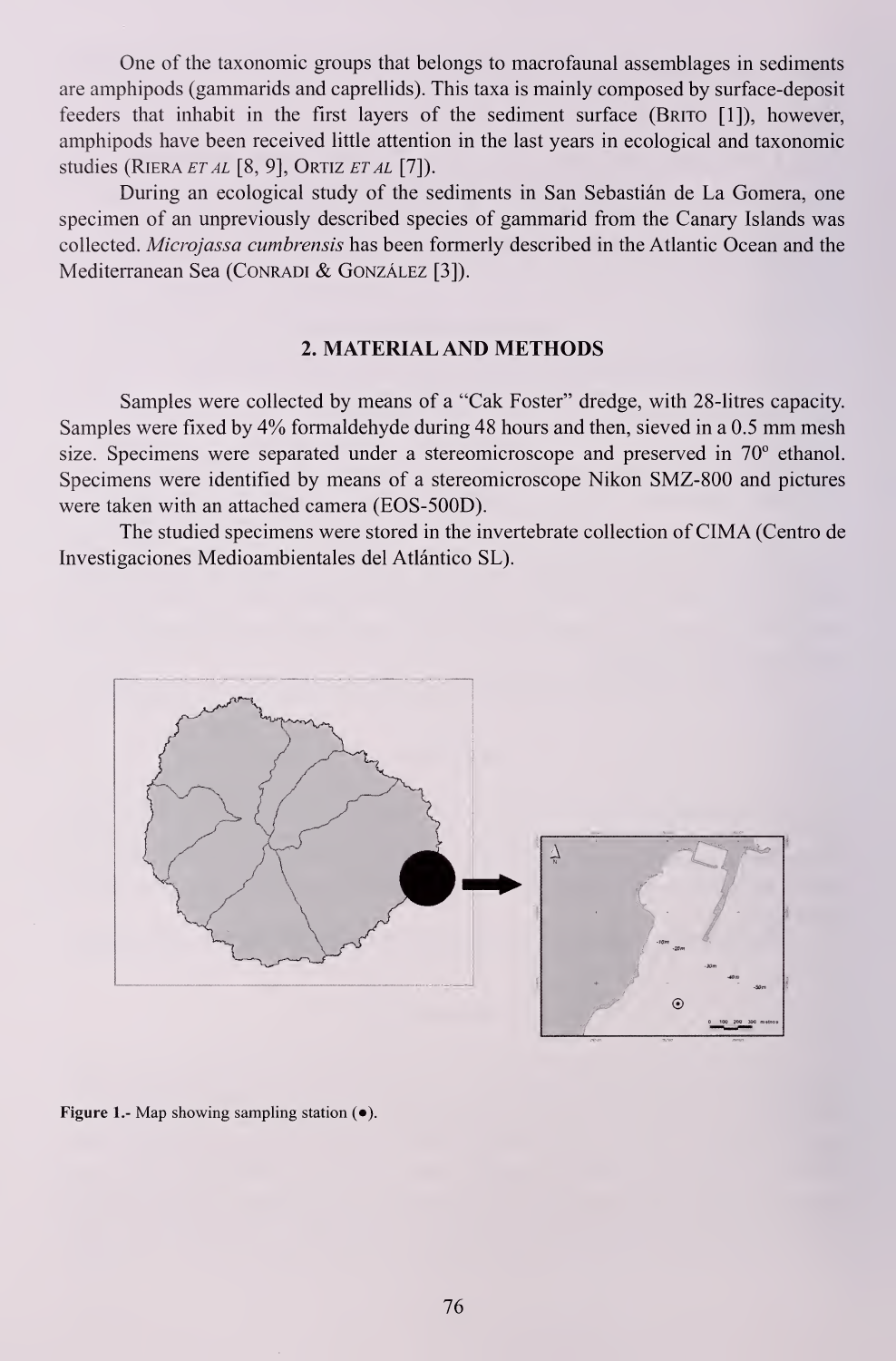One of the taxonomic groups that belongs to macrofaunal assemblages in sediments are amphipods (gammarids and caprellids). This taxa is mainly composed by surface-deposit feeders that inhabit in the first layers of the sediment surface (Brito [1]), however, amphipods have been received little attention in the last years in ecological and taxonomic studies (RIERA ET AL [8, 9], ORTIZ ET AL [7]).

During an ecological study of the sediments in San Sebastian de La Gomera, one specimen of an unpreviously described species of gammarid from the Canary Islands was collected. Microjassa cumbrensis has been formerly described in the Atlantic Ocean and the Mediterranean Sea (CONRADI & GONZÁLEZ [3]).

## 2. MATERIAL AND METHODS

Samples were collected by means of a "Cak Foster" dredge, with 28-litres capacity. Samples were fixed by 4% formaldehyde during <sup>48</sup> hours and then, sieved in <sup>a</sup> 0.5 mm mesh size. Specimens were separated under a stereomicroscope and preserved in 70° ethanol. Specimens were identified by means of a stereomicroscope Nikon SMZ-800 and pictures were taken with an attached camera (EOS-500D).

The studied specimens were stored in the invertebrate collection of CIMA (Centro de Investigaciones Medioambientales del Atlántico SL).



Figure 1.- Map showing sampling station (•).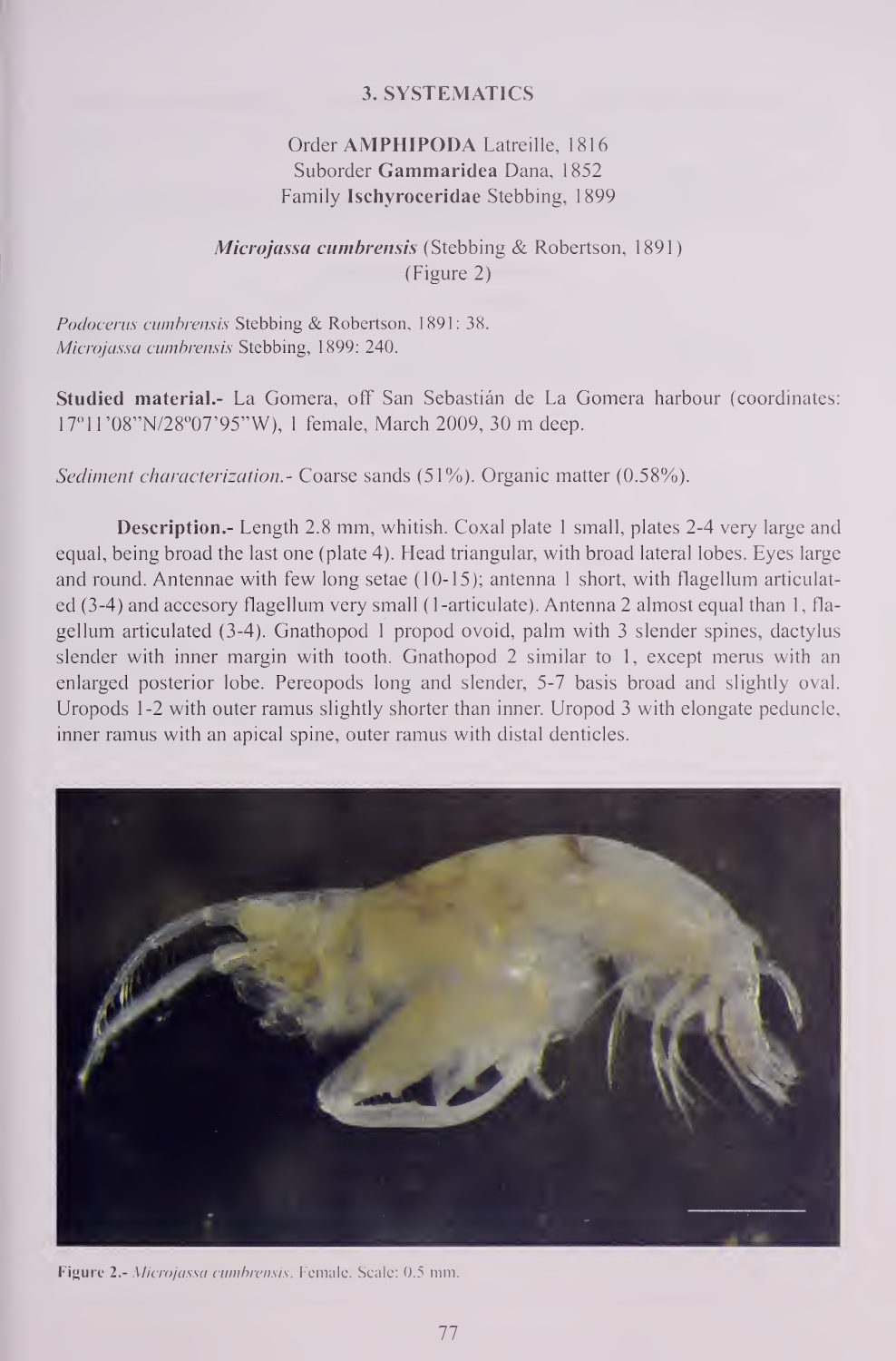## 3. SYSTEMATICS

# Order AMPHIPODA Latreille, <sup>1816</sup> Suborder Gammaridea Dana, 1852 Family Ischyroceridae Stebbing, 1899

# Microjassa cumbrensis (Stebbing & Robertson, 1891) (Figure 2)

Podocerus cumbrensis Stebbing & Robertson, 1891: 38. Microjassa cumbrensis Stebbing, 1899: 240.

Studied material.- La Gomera, off San Sebastian de La Gomera harbour (coordinates: 17°1 <sup>1</sup> '08"N/28°07'95"W), <sup>1</sup> female, March 2009, <sup>30</sup> m deep.

Sediment characterization.- Coarse sands (51%). Organic matter (0.58%).

Description.- Length 2.8 mm, whitish. Coxal plate <sup>1</sup> small, plates 2-4 very large and equal, being broad the last one (plate 4). Head triangular, with broad lateral lobes. Eyes large and round. Antennae with few long setae (10-15); antenna <sup>1</sup> short, with flagellum articulat ed (3-4) and accesory flagellum very small (1-articulate). Antenna 2 almost equal than 1, flagellum articulated  $(3-4)$ . Gnathopod 1 propod ovoid, palm with 3 slender spines, dactylus slender with inner margin with tooth. Gnathopod 2 similar to 1, except merus with an enlarged posterior lobe. Pereopods long and slender, 5-7 basis broad and slightly oval. Uropods 1-2 with outer ramus slightly shorter than inner. Uropod 3 with elongate peduncle, inner ramus with an apical spine, outer ramus with distal denticles.



Figure 2.- Microjassa cumbrensis. Female. Scale: 0.5 mm.